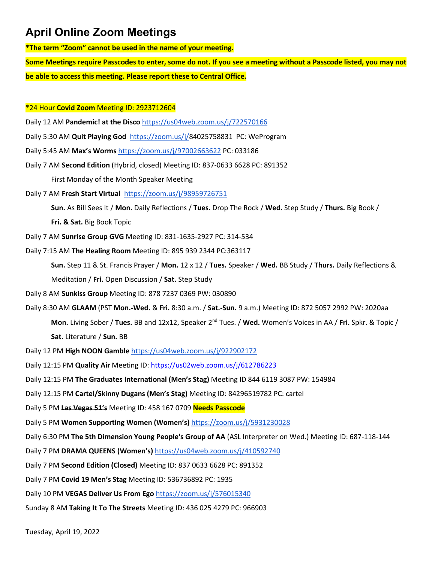**\*The term "Zoom" cannot be used in the name of your meeting.**

**Some Meetings require Passcodes to enter, some do not. If you see a meeting without a Passcode listed, you may not be able to access this meeting. Please report these to Central Office.**

#### \*24 Hour **Covid Zoom** Meeting ID: 2923712604

Daily 12 AM **Pandemic! at the Disco** <https://us04web.zoom.us/j/722570166>

- Daily 5:30 AM **Quit Playing God** [https://zoom.us/j/8](https://zoom.us/j/251719918)4025758831 PC: WeProgram
- Daily 5:45 AM **Max's Worms** <https://zoom.us/j/97002663622> PC: 033186
- Daily 7 AM **Second Edition** (Hybrid, closed) Meeting ID: 837-0633 6628 PC: 891352

First Monday of the Month Speaker Meeting

Daily 7 AM **Fresh Start Virtual** <https://zoom.us/j/98959726751>

**Sun.** As Bill Sees It / **Mon.** Daily Reflections / **Tues.** Drop The Rock / **Wed.** Step Study / **Thurs.** Big Book /

**Fri. & Sat.** Big Book Topic

Daily 7 AM **Sunrise Group GVG** Meeting ID: 831-1635-2927 PC: 314-534

Daily 7:15 AM **The Healing Room** Meeting ID: 895 939 2344 PC:363117

**Sun.** Step 11 & St. Francis Prayer / **Mon.** 12 x 12 / **Tues.** Speaker / **Wed.** BB Study / **Thurs.** Daily Reflections & Meditation / **Fri.** Open Discussion / **Sat.** Step Study

- Daily 8 AM **Sunkiss Group** Meeting ID: 878 7237 0369 PW: 030890
- Daily 8:30 AM **GLAAM** (PST **Mon.-Wed.** & **Fri.** 8:30 a.m. / **Sat.-Sun.** 9 a.m.) Meeting ID: 872 5057 2992 PW: 2020aa **Mon.** Living Sober / **Tues.** BB and 12x12, Speaker 2nd Tues. / **Wed.** Women's Voices in AA / **Fri.** Spkr. & Topic / **Sat.** Literature / **Sun.** BB

Daily 12 PM **High NOON Gamble** <https://us04web.zoom.us/j/922902172>

Daily 12:15 PM **Quality Air** Meeting ID:<https://us02web.zoom.us/j/612786223>

Daily 12:15 PM **The Graduates International (Men's Stag)** Meeting ID 844 6119 3087 PW: 154984

Daily 12:15 PM **Cartel/Skinny Dugans (Men's Stag)** Meeting ID: 84296519782 PC: cartel

Daily 5 PM **Las Vegas 51's** Meeting ID: 458 167 0709 **Needs Passcode**

Daily 5 PM **Women Supporting Women (Women's)** [https://zoom.us/j/5931230028](https://zoom.us/j/469489051)

Daily 6:30 PM **The 5th Dimension Young People's Group of AA** (ASL Interpreter on Wed.) Meeting ID: 687-118-144

Daily 7 PM **DRAMA QUEENS (Women's)** <https://us04web.zoom.us/j/410592740>

Daily 7 PM **Second Edition (Closed)** Meeting ID: 837 0633 6628 PC: 891352

Daily 7 PM **Covid 19 Men's Stag** Meeting ID: 536736892 PC: 1935

Daily 10 PM **VEGAS Deliver Us From Ego** <https://zoom.us/j/576015340>

Sunday 8 AM **Taking It To The Streets** Meeting ID: 436 025 4279 PC: 966903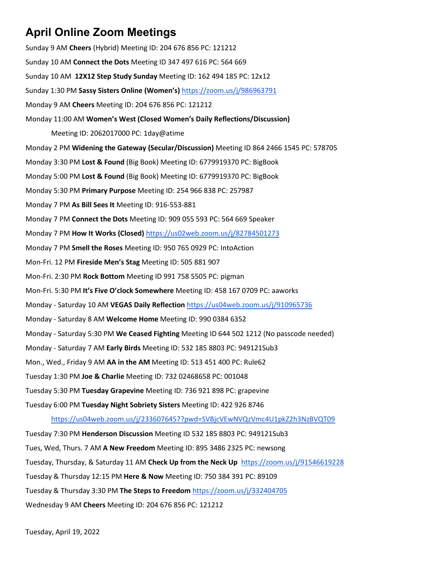Sunday 9 AM **Cheers** (Hybrid) Meeting ID: 204 676 856 PC: 121212 Sunday 10 AM **Connect the Dots** Meeting ID 347 497 616 PC: 564 669 Sunday 10 AM **12X12 Step Study Sunday** Meeting ID: 162 494 185 PC: 12x12 Sunday 1:30 PM **Sassy Sisters Online (Women's)** <https://zoom.us/j/986963791> Monday 9 AM **Cheers** Meeting ID: 204 676 856 PC: 121212 Monday 11:00 AM **Women's West (Closed Women's Daily Reflections/Discussion)** Meeting ID: 2062017000 PC: 1day@atime Monday 2 PM **Widening the Gateway (Secular/Discussion)** Meeting ID 864 2466 1545 PC: 578705 Monday 3:30 PM **Lost & Found** (Big Book) Meeting ID: 6779919370 PC: BigBook Monday 5:00 PM **Lost & Found** (Big Book) Meeting ID: 6779919370 PC: BigBook Monday 5:30 PM **Primary Purpose** Meeting ID: 254 966 838 PC: 257987 Monday 7 PM **As Bill Sees It** Meeting ID: 916-553-881 Monday 7 PM **Connect the Dots** Meeting ID: 909 055 593 PC: 564 669 Speaker Monday 7 PM **How It Works (Closed)** <https://us02web.zoom.us/j/82784501273> Monday 7 PM **Smell the Roses** Meeting ID: 950 765 0929 PC: IntoAction Mon-Fri. 12 PM **Fireside Men's Stag** Meeting ID: 505 881 907 Mon-Fri. 2:30 PM **Rock Bottom** Meeting ID 991 758 5505 PC: pigman Mon-Fri. 5:30 PM **It's Five O'clock Somewhere** Meeting ID: 458 167 0709 PC: aaworks Monday - Saturday 10 AM **VEGAS Daily Reflection** <https://us04web.zoom.us/j/910965736> Monday - Saturday 8 AM **Welcome Home** Meeting ID: 990 0384 6352 Monday - Saturday 5:30 PM **We Ceased Fighting** Meeting ID 644 502 1212 (No passcode needed) Monday - Saturday 7 AM **Early Birds** Meeting ID: 532 185 8803 PC: 949121Sub3 Mon., Wed., Friday 9 AM **AA in the AM** Meeting ID: 513 451 400 PC: Rule62 Tuesday 1:30 PM **Joe & Charlie** Meeting ID: 732 02468658 PC: 001048 Tuesday 5:30 PM **Tuesday Grapevine** Meeting ID: 736 921 898 PC: grapevine Tuesday 6:00 PM **Tuesday Night Sobriety Sisters** Meeting ID: 422 926 8746 <https://us04web.zoom.us/j/2336076457?pwd=SVBjcVEwNVQzVmc4U1pkZ2h3NzBVQT09> Tuesday 7:30 PM **Henderson Discussion** Meeting ID 532 185 8803 PC: 949121Sub3 Tues, Wed, Thurs. 7 AM **A New Freedom** Meeting ID: 895 3486 2325 PC: newsong Tuesday, Thursday, & Saturday 11 AM **Check Up from the Neck Up** <https://zoom.us/j/91546619228>

Tuesday & Thursday 12:15 PM **Here & Now** Meeting ID: 750 384 391 PC: 89109

Tuesday & Thursday 3:30 PM **The Steps to Freedom** <https://zoom.us/j/332404705>

Wednesday 9 AM **Cheers** Meeting ID: 204 676 856 PC: 121212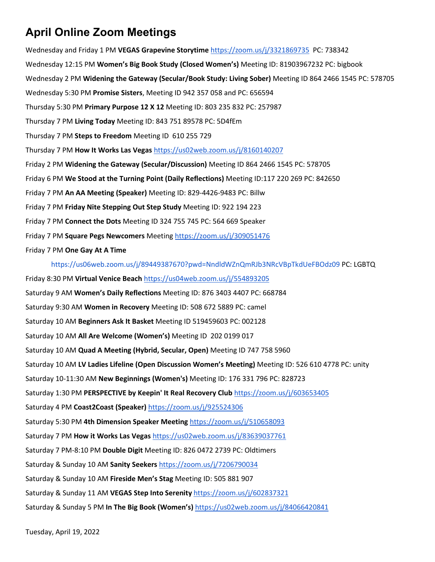Wednesday and Friday 1 PM **VEGAS Grapevine Storytime** <https://zoom.us/j/3321869735> PC: 738342 Wednesday 12:15 PM **Women's Big Book Study (Closed Women's)** Meeting ID: 81903967232 PC: bigbook Wednesday 2 PM **Widening the Gateway (Secular/Book Study: Living Sober)** Meeting ID 864 2466 1545 PC: 578705 Wednesday 5:30 PM **Promise Sisters**, Meeting ID 942 357 058 and PC: 656594 Thursday 5:30 PM **Primary Purpose 12 X 12** Meeting ID: 803 235 832 PC: 257987 Thursday 7 PM **Living Today** Meeting ID: 843 751 89578 PC: 5D4fEm Thursday 7 PM **Steps to Freedom** Meeting ID 610 255 729 Thursday 7 PM **How It Works Las Vegas** [https://us02web.zoom.us/j/8160140207](https://us02web.zoom.us/j/81601402071) Friday 2 PM **Widening the Gateway (Secular/Discussion)** Meeting ID 864 2466 1545 PC: 578705 Friday 6 PM **We Stood at the Turning Point (Daily Reflections)** Meeting ID:117 220 269 PC: 842650 Friday 7 PM **An AA Meeting (Speaker)** Meeting ID: 829-4426-9483 PC: Billw Friday 7 PM **Friday Nite Stepping Out Step Study** Meeting ID: 922 194 223 Friday 7 PM **Connect the Dots** Meeting ID 324 755 745 PC: 564 669 Speaker Friday 7 PM **Square Pegs Newcomers** Meeting<https://zoom.us/j/309051476> Friday 7 PM **One Gay At A Time**

<https://us06web.zoom.us/j/89449387670?pwd=NndldWZnQmRJb3NRcVBpTkdUeFBOdz09> PC: LGBTQ

Friday 8:30 PM **Virtual Venice Beach** <https://us04web.zoom.us/j/554893205> Saturday 9 AM **Women's Daily Reflections** Meeting ID: 876 3403 4407 PC: 668784 Saturday 9:30 AM **Women in Recovery** Meeting ID: 508 672 5889 PC: camel Saturday 10 AM **Beginners Ask It Basket** Meeting ID 519459603 PC: 002128 Saturday 10 AM **All Are Welcome (Women's)** Meeting ID 202 0199 017 Saturday 10 AM **Quad A Meeting (Hybrid, Secular, Open)** Meeting ID 747 758 5960 Saturday 10 AM **LV Ladies Lifeline (Open Discussion Women's Meeting)** Meeting ID: 526 610 4778 PC: unity Saturday 10-11:30 AM **New Beginnings (Women's)** Meeting ID: 176 331 796 PC: 828723 Saturday 1:30 PM **PERSPECTIVE by Keepin' It Real Recovery Club** <https://zoom.us/j/603653405> Saturday 4 PM **Coast2Coast (Speaker)** <https://zoom.us/j/925524306> Saturday 5:30 PM **4th Dimension Speaker Meeting** <https://zoom.us/j/510658093> Saturday 7 PM **How it Works Las Vegas** <https://us02web.zoom.us/j/83639037761> Saturday 7 PM-8:10 PM **Double Digit** Meeting ID: 826 0472 2739 PC: Oldtimers Saturday & Sunday 10 AM **Sanity Seekers** [https://zoom.us/j/7206790034](https://zoom.us/j/7206790034?pwd=YzFVaEViQm9Mb0lrWXoxakRmNEd3Zz09) Saturday & Sunday 10 AM **Fireside Men's Stag** Meeting ID: 505 881 907 Saturday & Sunday 11 AM **VEGAS Step Into Serenity** <https://zoom.us/j/602837321> Saturday & Sunday 5 PM **In The Big Book (Women's)** <https://us02web.zoom.us/j/84066420841>